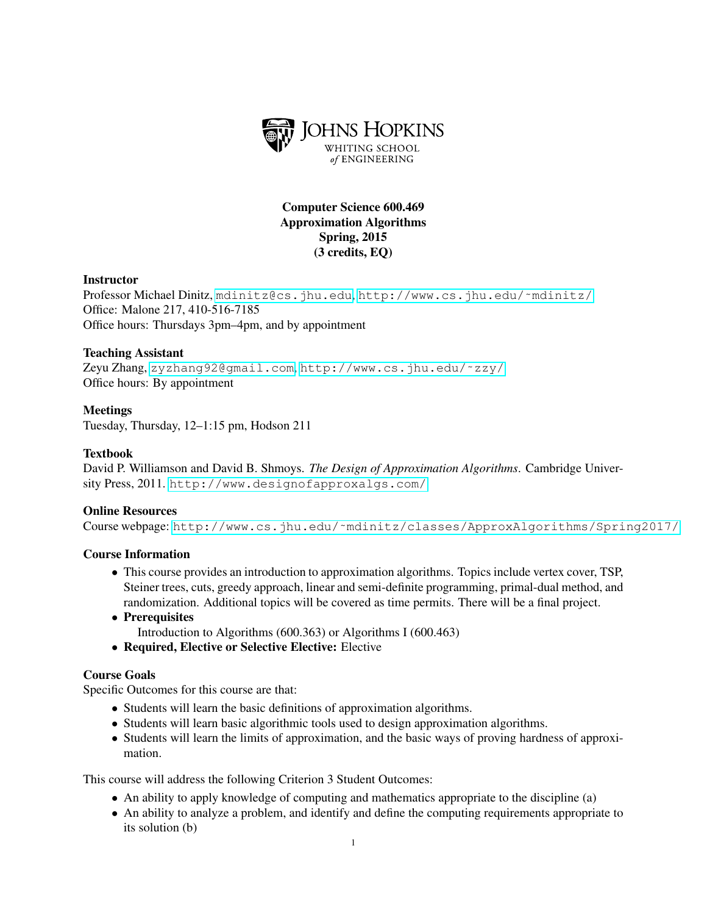

# Computer Science 600.469 Approximation Algorithms Spring, 2015 (3 credits, EQ)

## **Instructor**

Professor Michael Dinitz, <mdinitz@cs.jhu.edu>, [http://www.cs.jhu.edu/˜mdinitz/](http://www.cs.jhu.edu/~mdinitz/) Office: Malone 217, 410-516-7185 Office hours: Thursdays 3pm–4pm, and by appointment

### Teaching Assistant

Zeyu Zhang, <zyzhang92@gmail.com>, [http://www.cs.jhu.edu/˜zzy/](http://www.cs.jhu.edu/~zzy/) Office hours: By appointment

## Meetings

Tuesday, Thursday, 12–1:15 pm, Hodson 211

### Textbook

David P. Williamson and David B. Shmoys. *The Design of Approximation Algorithms*. Cambridge University Press, 2011. <http://www.designofapproxalgs.com/>

#### Online Resources

Course webpage: [http://www.cs.jhu.edu/˜mdinitz/classes/ApproxAlgorithms/Spring2017/](http://www.cs.jhu.edu/~mdinitz/classes/ApproxAlgorithms/Spring2017/)

#### Course Information

- This course provides an introduction to approximation algorithms. Topics include vertex cover, TSP, Steiner trees, cuts, greedy approach, linear and semi-definite programming, primal-dual method, and randomization. Additional topics will be covered as time permits. There will be a final project.
- Prerequisites Introduction to Algorithms (600.363) or Algorithms I (600.463)
- Required, Elective or Selective Elective: Elective

#### Course Goals

Specific Outcomes for this course are that:

- Students will learn the basic definitions of approximation algorithms.
- Students will learn basic algorithmic tools used to design approximation algorithms.
- Students will learn the limits of approximation, and the basic ways of proving hardness of approximation.

This course will address the following Criterion 3 Student Outcomes:

- An ability to apply knowledge of computing and mathematics appropriate to the discipline (a)
- An ability to analyze a problem, and identify and define the computing requirements appropriate to its solution (b)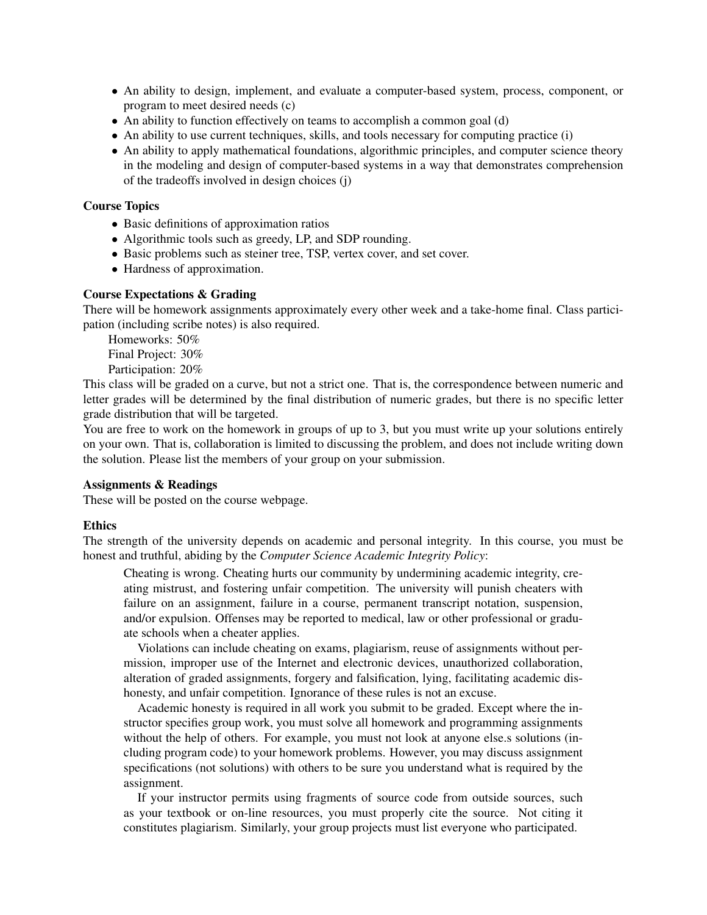- An ability to design, implement, and evaluate a computer-based system, process, component, or program to meet desired needs (c)
- An ability to function effectively on teams to accomplish a common goal (d)
- An ability to use current techniques, skills, and tools necessary for computing practice (i)
- An ability to apply mathematical foundations, algorithmic principles, and computer science theory in the modeling and design of computer-based systems in a way that demonstrates comprehension of the tradeoffs involved in design choices (j)

#### Course Topics

- Basic definitions of approximation ratios
- Algorithmic tools such as greedy, LP, and SDP rounding.
- Basic problems such as steiner tree, TSP, vertex cover, and set cover.
- Hardness of approximation.

## Course Expectations & Grading

There will be homework assignments approximately every other week and a take-home final. Class participation (including scribe notes) is also required.

Homeworks: 50% Final Project: 30% Participation: 20%

This class will be graded on a curve, but not a strict one. That is, the correspondence between numeric and letter grades will be determined by the final distribution of numeric grades, but there is no specific letter grade distribution that will be targeted.

You are free to work on the homework in groups of up to 3, but you must write up your solutions entirely on your own. That is, collaboration is limited to discussing the problem, and does not include writing down the solution. Please list the members of your group on your submission.

#### Assignments & Readings

These will be posted on the course webpage.

#### **Ethics**

The strength of the university depends on academic and personal integrity. In this course, you must be honest and truthful, abiding by the *Computer Science Academic Integrity Policy*:

Cheating is wrong. Cheating hurts our community by undermining academic integrity, creating mistrust, and fostering unfair competition. The university will punish cheaters with failure on an assignment, failure in a course, permanent transcript notation, suspension, and/or expulsion. Offenses may be reported to medical, law or other professional or graduate schools when a cheater applies.

Violations can include cheating on exams, plagiarism, reuse of assignments without permission, improper use of the Internet and electronic devices, unauthorized collaboration, alteration of graded assignments, forgery and falsification, lying, facilitating academic dishonesty, and unfair competition. Ignorance of these rules is not an excuse.

Academic honesty is required in all work you submit to be graded. Except where the instructor specifies group work, you must solve all homework and programming assignments without the help of others. For example, you must not look at anyone else.s solutions (including program code) to your homework problems. However, you may discuss assignment specifications (not solutions) with others to be sure you understand what is required by the assignment.

If your instructor permits using fragments of source code from outside sources, such as your textbook or on-line resources, you must properly cite the source. Not citing it constitutes plagiarism. Similarly, your group projects must list everyone who participated.